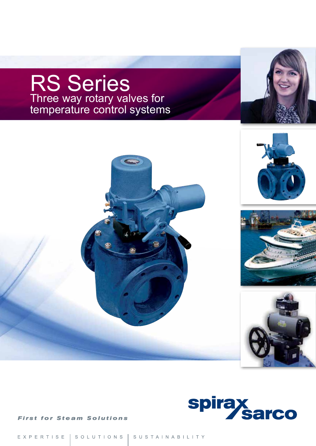## RS Series Three way rotary valves for temperature control systems







**First for Steam Solutions**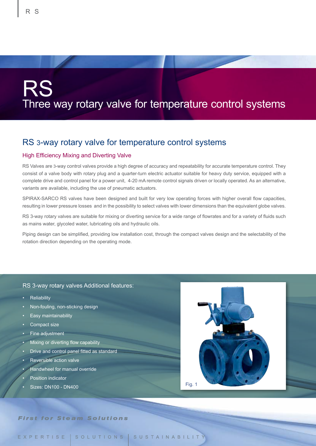# RS Three way rotary valve for temperature control systems

#### RS 3-way rotary valve for temperature control systems

#### High Efficiency Mixing and Diverting Valve

RS Valves are 3-way control valves provide a high degree of accuracy and repeatability for accurate temperature control. They consist of a valve body with rotary plug and a quarter-turn electric actuator suitable for heavy duty service, equipped with a complete drive and control panel for a power unit, 4-20 mA remote control signals driven or locally operated. As an alternative, variants are available, including the use of pneumatic actuators.

SPIRAX-SARCO RS valves have been designed and built for very low operating forces with higher overall flow capacities, resulting in lower pressure losses and in the possibility to select valves with lower dimensions than the equivalent globe valves.

RS 3-way rotary valves are suitable for mixing or diverting service for a wide range of flowrates and for a variety of fluids such as mains water, glycoled water, lubricating oils and hydraulic oils.

Piping design can be simplified, providing low installation cost, through the compact valves design and the selectability of the rotation direction depending on the operating mode.

#### RS 3-way rotary valves Additional features:

- **Reliability**
- Non-fouling, non-sticking design
- Easy maintainability
- Compact size
- Fine adjustment
- Mixing or diverting flow capability
- Drive and control panel fitted as standard
- Reversible action valve
- Handwheel for manual override
- Position indicator
- Sizes: DN100 DN400 Fig. 1



**First for Steam Solutions**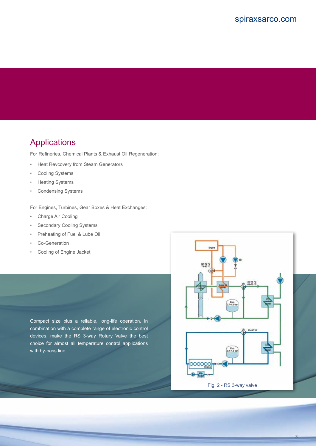#### Applications

For Refineries, Chemical Plants & Exhaust Oil Regeneration:

- Heat Revcovery from Steam Generators
- Cooling Systems
- Heating Systems
- Condensing Systems

For Engines, Turbines, Gear Boxes & Heat Exchanges:

- Charge Air Cooling
- Secondary Cooling Systems
- Preheating of Fuel & Lube Oil
- Co-Generation
- Cooling of Engine Jacket

Compact size plus a reliable, long-life operation, in combination with a complete range of electronic control devices, make the RS 3-way Rotary Valve the best choice for almost all temperature control applications with by-pass line.



3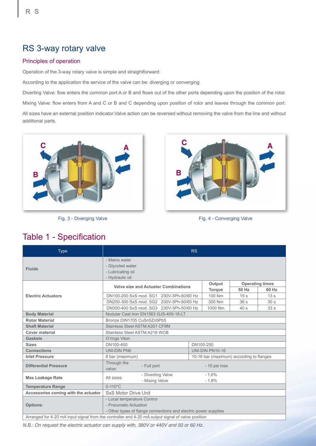#### RS 3-way rotary valve

#### Principles of operation

Operation of the 3-way rotary valve is simple and straightforward:

According to the application the service of the valve can be: diverging or converging.

Diverting Valve: flow enters the common port A or B and flows out of the other ports depending upon the position of the rotor.

Mixing Valve: flow enters from A and C or B and C depending upon position of rotor and leaves through the common port.

All sizes have an external position indicator.Valve action can be reversed without removing the valve from the line and without additional parts.



Fig. 3 - Diverging Valve



Fig. 4 - Converging Valve

| <b>Type</b>                                                                                       | RS                                                                        |  |           |                                          |                        |                 |  |  |  |  |
|---------------------------------------------------------------------------------------------------|---------------------------------------------------------------------------|--|-----------|------------------------------------------|------------------------|-----------------|--|--|--|--|
| <b>Fluids</b>                                                                                     | - Mains water<br>- Glycoled water<br>- Lubricating oil<br>- Hydraulic oil |  |           |                                          |                        |                 |  |  |  |  |
|                                                                                                   | <b>Valve size and Actuator Combinations</b>                               |  |           | Output                                   | <b>Operating times</b> |                 |  |  |  |  |
|                                                                                                   |                                                                           |  |           | <b>Torque</b>                            | 50 Hz                  | 60 Hz           |  |  |  |  |
| <b>Electric Actuators</b>                                                                         | DN100-200 SxS mod. SG1 230V-3Ph-50/60 Hz                                  |  |           | 100 Nm                                   | 15 <sub>s</sub>        | 13 <sub>s</sub> |  |  |  |  |
|                                                                                                   | DN250-300 SxS mod. SG2 230V-3Ph-50/60 Hz                                  |  |           | 300 Nm                                   | 36s                    | 30 <sub>s</sub> |  |  |  |  |
|                                                                                                   | DN350-400 SxS mod. SG3 230V-3Ph-50/60 Hz                                  |  |           | 1000 Nm                                  | 40s                    | 33 <sub>s</sub> |  |  |  |  |
| <b>Body Material</b>                                                                              | Nodular Cast Iron EN1563 GJS-400-18-LT                                    |  |           |                                          |                        |                 |  |  |  |  |
| <b>Rotor Material</b>                                                                             | Bronze DIN1705 CuSn5Zn5Pb5                                                |  |           |                                          |                        |                 |  |  |  |  |
| <b>Shaft Material</b>                                                                             | Stainless Steel ASTM A351 CF8M                                            |  |           |                                          |                        |                 |  |  |  |  |
| <b>Cover material</b>                                                                             | Stainless Steel ASTM A216 WCB                                             |  |           |                                          |                        |                 |  |  |  |  |
| <b>Gaskets</b>                                                                                    | O'rings Viton                                                             |  |           |                                          |                        |                 |  |  |  |  |
| <b>Sizes</b>                                                                                      | DN100-400                                                                 |  | DN100-250 |                                          |                        |                 |  |  |  |  |
| <b>Connections</b>                                                                                | <b>UNI-DIN PN6</b>                                                        |  |           | <b>UNI-DIN PN10-16</b>                   |                        |                 |  |  |  |  |
| <b>Inlet Pressure</b>                                                                             | 6 bar (maximum)                                                           |  |           | 10-16 bar (maximum) according to flanges |                        |                 |  |  |  |  |
| <b>Differential Pressure</b>                                                                      | Through the<br>- 15 psi max<br>- Full port<br>valve:                      |  |           |                                          |                        |                 |  |  |  |  |
| <b>Max Leakage Rate</b>                                                                           | - Diverting Valve<br>All sizes:<br>- Mixing Valve                         |  |           | $-1,6%$<br>$-1,8%$                       |                        |                 |  |  |  |  |
| <b>Temperature Range</b>                                                                          | $0-110^{\circ}$ C                                                         |  |           |                                          |                        |                 |  |  |  |  |
| Accessories coming with the actuator                                                              | <b>SxS Motor Drive Unit</b>                                               |  |           |                                          |                        |                 |  |  |  |  |
|                                                                                                   | - Local temperature Control                                               |  |           |                                          |                        |                 |  |  |  |  |
| <b>Options:</b>                                                                                   | - Pneumatic Actuation                                                     |  |           |                                          |                        |                 |  |  |  |  |
|                                                                                                   | - Other types of flange connections and electric power supplies           |  |           |                                          |                        |                 |  |  |  |  |
| Arranged for 4-20 mA input signal from the controller and 4-20 mA output signal of valve position |                                                                           |  |           |                                          |                        |                 |  |  |  |  |

### Table 1 - Specification

*N.B.: On request the electric actuator can supply with, 380V or 440V and 50 or 60 Hz.*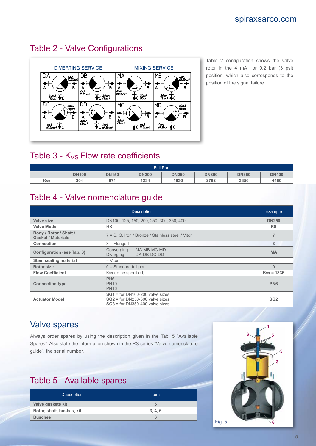

#### Table 2 - Valve Configurations

Table 2 configuration shows the valve rotor in the 4 mA or 0,2 bar (3 psi) position, which also corresponds to the position of the signal failure.

#### Table  $3 - K_{VS}$  Flow rate coefficients

| <b>Full Port</b> |              |              |              |              |              |              |              |  |  |  |  |
|------------------|--------------|--------------|--------------|--------------|--------------|--------------|--------------|--|--|--|--|
|                  | <b>DN100</b> | <b>DN150</b> | <b>DN200</b> | <b>DN250</b> | <b>DN300</b> | <b>DN350</b> | <b>DN400</b> |  |  |  |  |
| Kvs              | 304          | 671          | 1234         | 1836         | 2782         | 3856         | 4480         |  |  |  |  |

#### Table 4 - Valve nomenclature guide

|                                                     | <b>Description</b>                                                                                          | Example         |
|-----------------------------------------------------|-------------------------------------------------------------------------------------------------------------|-----------------|
| Valve size                                          | DN100, 125, 150, 200, 250, 300, 350, 400                                                                    | <b>DN250</b>    |
| <b>Valve Model</b>                                  | <b>RS</b>                                                                                                   | <b>RS</b>       |
| Body / Rotor / Shaft /<br><b>Gasket / Materials</b> | 7 = S. G. Iron / Bronze / Stainless steel / Viton                                                           |                 |
| Connection                                          | $3$ = Flanged                                                                                               | 3               |
| Configuration (see Tab. 3)                          | MA-MB-MC-MD<br>Converging<br><b>Diverging</b><br>DA-DB-DC-DD                                                | <b>MA</b>       |
| <b>Stem sealing material</b>                        | $=$ Viton                                                                                                   |                 |
| <b>Rotor size</b>                                   | $0 =$ Standard full port                                                                                    | $\Omega$        |
| <b>Flow Coefficient</b>                             | $K_{VS}$ (to be specified)                                                                                  | $K_{VS} = 1836$ |
| <b>Connection type</b>                              | PN <sub>6</sub><br><b>PN10</b><br><b>PN16</b>                                                               | <b>PN6</b>      |
| <b>Actuator Model</b>                               | $SG1 =$ for DN100-200 valve sizes<br>$SG2$ = for DN250-300 valve sizes<br>$SG3$ = for DN350-400 valve sizes | SG <sub>2</sub> |

#### Valve spares

Always order spares by using the description given in the Tab. 5 "Available Spares". Also state the information shown in the RS series "Valve nomenclature guide", the serial number.

### Table 5 - Available spares

| <b>Description</b>        | Item    |
|---------------------------|---------|
| Valve gaskets kit         | ÷.      |
| Rotor, shaft, bushes, kit | 3, 4, 6 |
| <b>Busches</b>            | 6       |

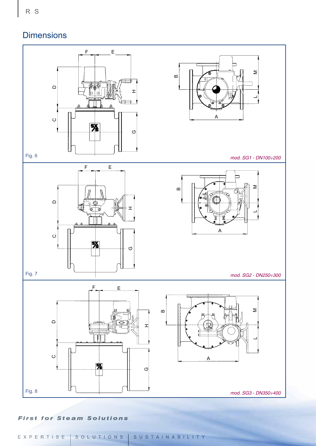### **Dimensions**



#### **First for Steam Solutions**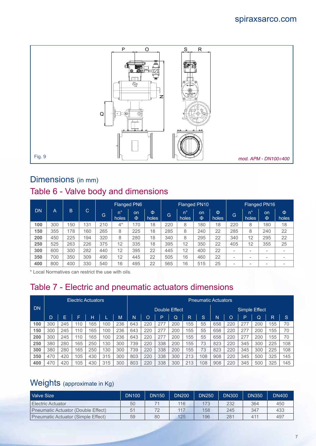#### spiraxsarco.com



#### Dimensions (in mm)

### Table 6 - Valve body and dimensions

|     |     |     |     |     | <b>Flanged PN6</b>   |         |            |     |                      | <b>Flanged PN10</b> |            |                          | <b>Flanged PN16</b>      |                          |                          |  |
|-----|-----|-----|-----|-----|----------------------|---------|------------|-----|----------------------|---------------------|------------|--------------------------|--------------------------|--------------------------|--------------------------|--|
| DN  | A   | B   | C   | G   | $n^{\circ}$<br>holes | on<br>Φ | Φ<br>holes | G   | $n^{\circ}$<br>holes | on<br>Φ             | Ф<br>holes | G                        | n°<br>holes              | on<br>Φ                  | Φ<br>holes               |  |
| 100 | 300 | 150 | 131 | 210 | $4^*$                | 170     | 18         | 220 | 8                    | 180                 | 18         | 220                      | 8                        | 180                      | 18                       |  |
| 150 | 355 | 178 | 160 | 265 | 8                    | 225     | 18         | 285 | 8                    | 240                 | 22         | 285                      | 8                        | 240                      | 22                       |  |
| 200 | 450 | 225 | 194 | 320 | 8                    | 280     | 18         | 340 | 8                    | 295                 | 22         | 340                      | 12                       | 295                      | 22                       |  |
| 250 | 525 | 263 | 226 | 375 | 12                   | 335     | 18         | 395 | 12                   | 350                 | 22         | 405                      | 12                       | 355                      | 25                       |  |
| 300 | 600 | 300 | 282 | 440 | 12                   | 395     | 22         | 445 | 12                   | 400                 | 22         | $\overline{\phantom{a}}$ | $\overline{\phantom{a}}$ |                          | $\overline{\phantom{a}}$ |  |
| 350 | 700 | 350 | 309 | 490 | 12                   | 445     | 22         | 505 | 16                   | 460                 | 22         | $\overline{\phantom{a}}$ | $\overline{\phantom{a}}$ | -                        | $\overline{\phantom{a}}$ |  |
| 400 | 800 | 400 | 330 | 540 | 16                   | 495     | 22         | 565 | 16                   | 515                 | 25         | $\overline{\phantom{a}}$ | $\overline{\phantom{a}}$ | $\overline{\phantom{a}}$ |                          |  |

\* Local Normatives can restrict the use with oils.

### Table 7 - Electric and pneumatic actuators dimensions

|           |     |     | <b>Electric Actuators</b> |     |     |     | <b>Pneumatic Actuators</b> |               |     |     |     |    |               |     |     |     |     |     |
|-----------|-----|-----|---------------------------|-----|-----|-----|----------------------------|---------------|-----|-----|-----|----|---------------|-----|-----|-----|-----|-----|
| <b>DN</b> |     |     |                           |     |     |     |                            | Double Effect |     |     |     |    | Simple Effect |     |     |     |     |     |
|           | D.  | Е   | ┕                         | н   |     | M   | N                          | O             | P   | Q   | R   | 'S | N             | D   | ⊃   |     | R   | S   |
| 100       | 300 | 245 | 110                       | 165 | 100 | 236 | 643                        | 220           | 277 | 200 | 155 | 55 | 658           | 220 | 277 | 200 | 155 | 70  |
| 150       | 300 | 245 | 110                       | 165 | 100 | 236 | 643                        | 220           | 277 | 200 | 155 | 55 | 658           | 220 | 277 | 200 | 155 | 70  |
| 200       | 300 | 245 | 110                       | 165 | 100 | 236 | 643                        | 220           | 277 | 200 | 155 | 55 | 658           | 220 | 277 | 200 | 155 | 70  |
| 250       | 380 | 280 | 165                       | 250 | 130 | 300 | 739                        | 220           | 338 | 200 | 155 | 73 | 823           | 220 | 345 | 300 | 225 | 108 |
| 300       | 380 | 280 | 165                       | 250 | 130 | 300 | 739                        | 220           | 338 | 200 | 155 | 73 | 823           | 220 | 345 | 300 | 225 | 108 |
| 350       | 470 | 420 | 105                       | 430 | 315 | 300 | 803                        | 220           | 338 | 300 | 213 | 08 | 908           | 220 | 345 | 500 | 325 | 145 |
| 400       | 470 | 420 | 105                       | 430 | 315 | 300 | 803                        | 220           | 338 | 300 | 213 | 08 | 908           | 220 | 345 | 500 | 325 | 145 |

### Weights (approximate in Kg)

| Valve Size                         | <b>DN100</b> | <b>DN150</b> | <b>DN200</b> | <b>DN250</b> | <b>DN300</b> | <b>DN350</b> | <b>DN400</b> |
|------------------------------------|--------------|--------------|--------------|--------------|--------------|--------------|--------------|
| Electric Actuator                  | 50           |              | 116          | 173          | 232          | 364          | 450          |
| Pneumatic Actuator (Double Effect) | 51           | 72           | 117          | 158          | 245          | 347          | 433          |
| Pneumatic Actuator (Simple Effect) | 59           | 80           | 125          | 196          | 281          | 411          | 497          |